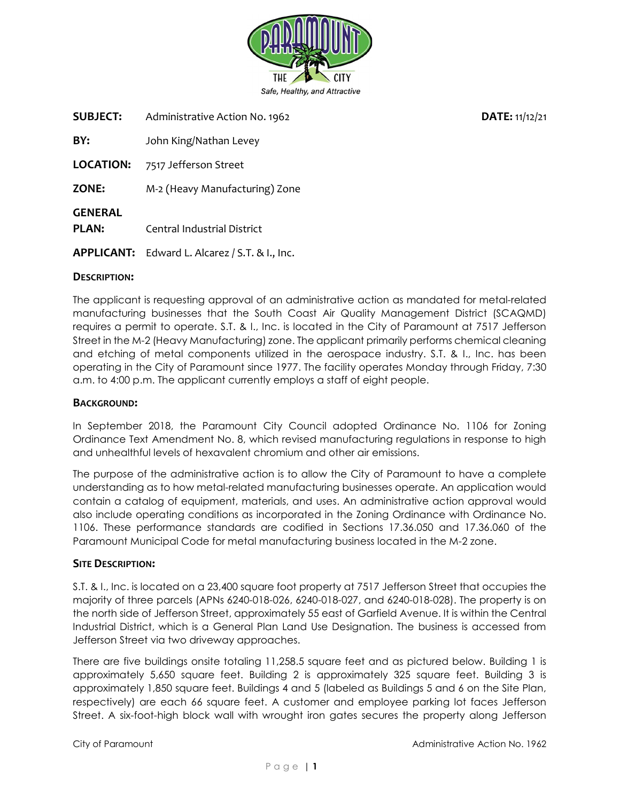

SUBJECT: Administrative Action No. 1962<br>
DATE: 11/12/21

BY: John King/Nathan Levey

LOCATION: 7517 Jefferson Street

ZONE: M-2 (Heavy Manufacturing) Zone

GENERAL

PLAN: Central Industrial District

APPLICANT: Edward L. Alcarez / S.T. & I., Inc.

### DESCRIPTION:

The applicant is requesting approval of an administrative action as mandated for metal-related manufacturing businesses that the South Coast Air Quality Management District (SCAQMD) requires a permit to operate. S.T. & I., Inc. is located in the City of Paramount at 7517 Jefferson Street in the M-2 (Heavy Manufacturing) zone. The applicant primarily performs chemical cleaning and etching of metal components utilized in the aerospace industry. S.T. & I., Inc. has been operating in the City of Paramount since 1977. The facility operates Monday through Friday, 7:30 a.m. to 4:00 p.m. The applicant currently employs a staff of eight people.

### BACKGROUND:

In September 2018, the Paramount City Council adopted Ordinance No. 1106 for Zoning Ordinance Text Amendment No. 8, which revised manufacturing regulations in response to high and unhealthful levels of hexavalent chromium and other air emissions.

The purpose of the administrative action is to allow the City of Paramount to have a complete understanding as to how metal-related manufacturing businesses operate. An application would contain a catalog of equipment, materials, and uses. An administrative action approval would also include operating conditions as incorporated in the Zoning Ordinance with Ordinance No. 1106. These performance standards are codified in Sections 17.36.050 and 17.36.060 of the Paramount Municipal Code for metal manufacturing business located in the M-2 zone.

#### SITE DESCRIPTION:

S.T. & I., Inc. is located on a 23,400 square foot property at 7517 Jefferson Street that occupies the majority of three parcels (APNs 6240-018-026, 6240-018-027, and 6240-018-028). The property is on the north side of Jefferson Street, approximately 55 east of Garfield Avenue. It is within the Central Industrial District, which is a General Plan Land Use Designation. The business is accessed from Jefferson Street via two driveway approaches.

There are five buildings onsite totaling 11,258.5 square feet and as pictured below. Building 1 is approximately 5,650 square feet. Building 2 is approximately 325 square feet. Building 3 is approximately 1,850 square feet. Buildings 4 and 5 (labeled as Buildings 5 and 6 on the Site Plan, respectively) are each 66 square feet. A customer and employee parking lot faces Jefferson Street. A six-foot-high block wall with wrought iron gates secures the property along Jefferson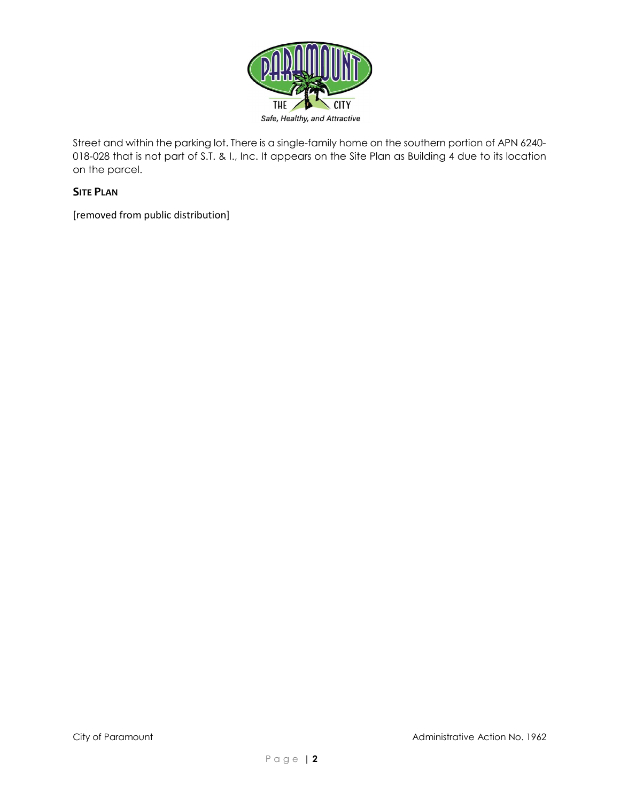

Street and within the parking lot. There is a single-family home on the southern portion of APN 6240- 018-028 that is not part of S.T. & I., Inc. It appears on the Site Plan as Building 4 due to its location on the parcel.

# SITE PLAN

[removed from public distribution]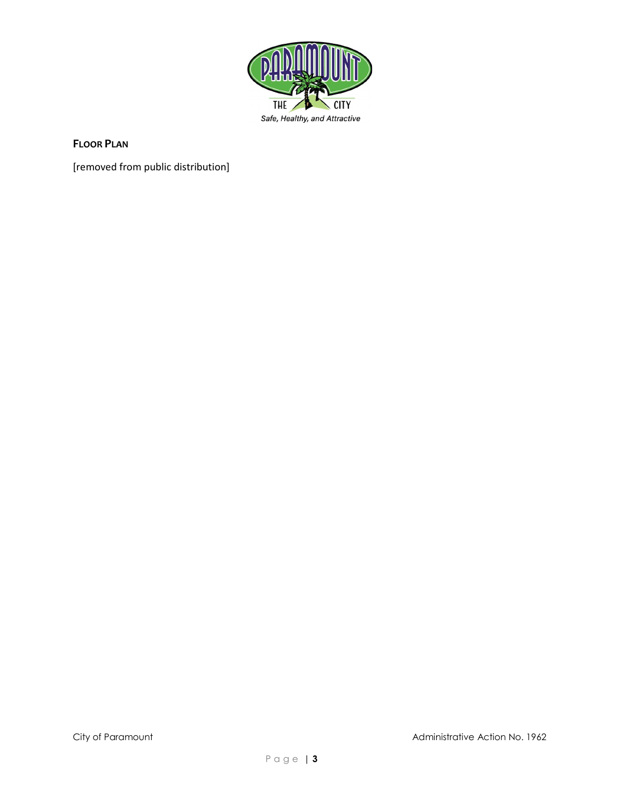

## FLOOR PLAN

[removed from public distribution]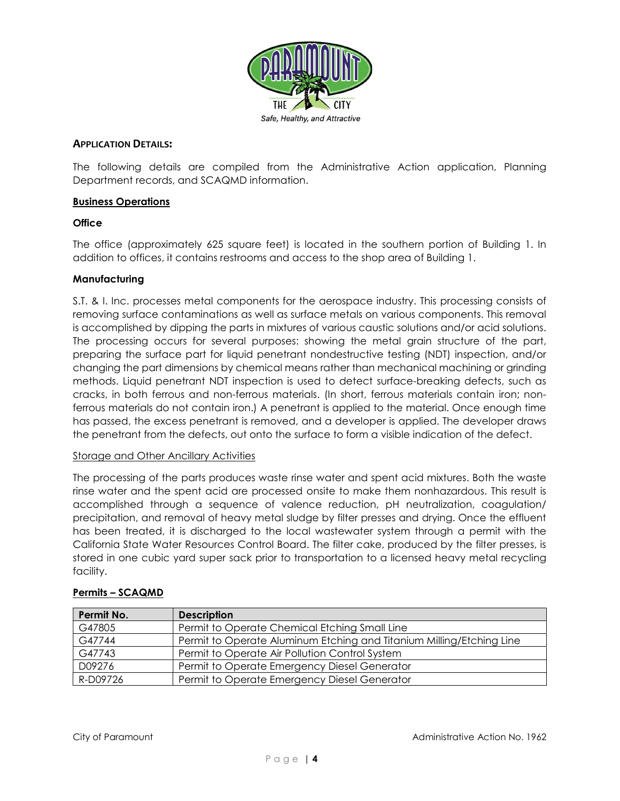

#### APPLICATION DETAILS:

The following details are compiled from the Administrative Action application, Planning Department records, and SCAQMD information.

#### Business Operations

### **Office**

The office (approximately 625 square feet) is located in the southern portion of Building 1. In addition to offices, it contains restrooms and access to the shop area of Building 1.

#### Manufacturing

S.T. & I. Inc. processes metal components for the aerospace industry. This processing consists of removing surface contaminations as well as surface metals on various components. This removal is accomplished by dipping the parts in mixtures of various caustic solutions and/or acid solutions. The processing occurs for several purposes: showing the metal grain structure of the part, preparing the surface part for liquid penetrant nondestructive testing (NDT) inspection, and/or changing the part dimensions by chemical means rather than mechanical machining or grinding methods. Liquid penetrant NDT inspection is used to detect surface-breaking defects, such as cracks, in both ferrous and non-ferrous materials. (In short, ferrous materials contain iron; nonferrous materials do not contain iron.) A penetrant is applied to the material. Once enough time has passed, the excess penetrant is removed, and a developer is applied. The developer draws the penetrant from the defects, out onto the surface to form a visible indication of the defect.

#### Storage and Other Ancillary Activities

The processing of the parts produces waste rinse water and spent acid mixtures. Both the waste rinse water and the spent acid are processed onsite to make them nonhazardous. This result is accomplished through a sequence of valence reduction, pH neutralization, coagulation/ precipitation, and removal of heavy metal sludge by filter presses and drying. Once the effluent has been treated, it is discharged to the local wastewater system through a permit with the California State Water Resources Control Board. The filter cake, produced by the filter presses, is stored in one cubic yard super sack prior to transportation to a licensed heavy metal recycling facility.

| Permit No. | <b>Description</b>                                                   |  |
|------------|----------------------------------------------------------------------|--|
| G47805     | Permit to Operate Chemical Etching Small Line                        |  |
| G47744     | Permit to Operate Aluminum Etching and Titanium Milling/Etching Line |  |
| G47743     | Permit to Operate Air Pollution Control System                       |  |
| D09276     | Permit to Operate Emergency Diesel Generator                         |  |
| R-D09726   | Permit to Operate Emergency Diesel Generator                         |  |

## Permits – SCAQMD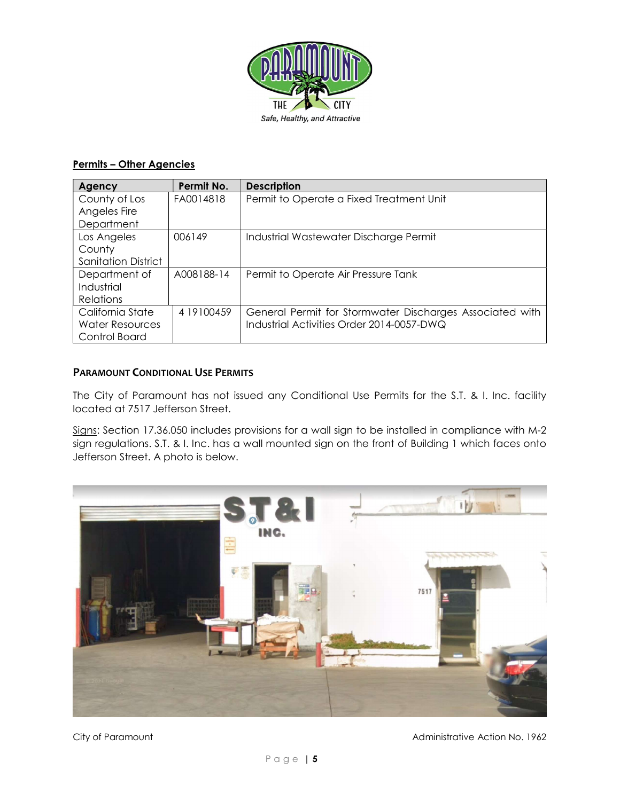

# Permits – Other Agencies

| Agency                     | Permit No. | <b>Description</b>                                       |
|----------------------------|------------|----------------------------------------------------------|
| County of Los              | FA0014818  | Permit to Operate a Fixed Treatment Unit                 |
| Angeles Fire               |            |                                                          |
| Department                 |            |                                                          |
| Los Angeles                | 006149     | Industrial Wastewater Discharge Permit                   |
| County                     |            |                                                          |
| <b>Sanitation District</b> |            |                                                          |
| Department of              | A008188-14 | Permit to Operate Air Pressure Tank                      |
| Industrial                 |            |                                                          |
| Relations                  |            |                                                          |
| California State           | 4 19100459 | General Permit for Stormwater Discharges Associated with |
| <b>Water Resources</b>     |            | Industrial Activities Order 2014-0057-DWQ                |
| Control Board              |            |                                                          |

## PARAMOUNT CONDITIONAL USE PERMITS

The City of Paramount has not issued any Conditional Use Permits for the S.T. & I. Inc. facility located at 7517 Jefferson Street.

Signs: Section 17.36.050 includes provisions for a wall sign to be installed in compliance with M-2 sign regulations. S.T. & I. Inc. has a wall mounted sign on the front of Building 1 which faces onto Jefferson Street. A photo is below.



City of Paramount Administrative Action No. 1962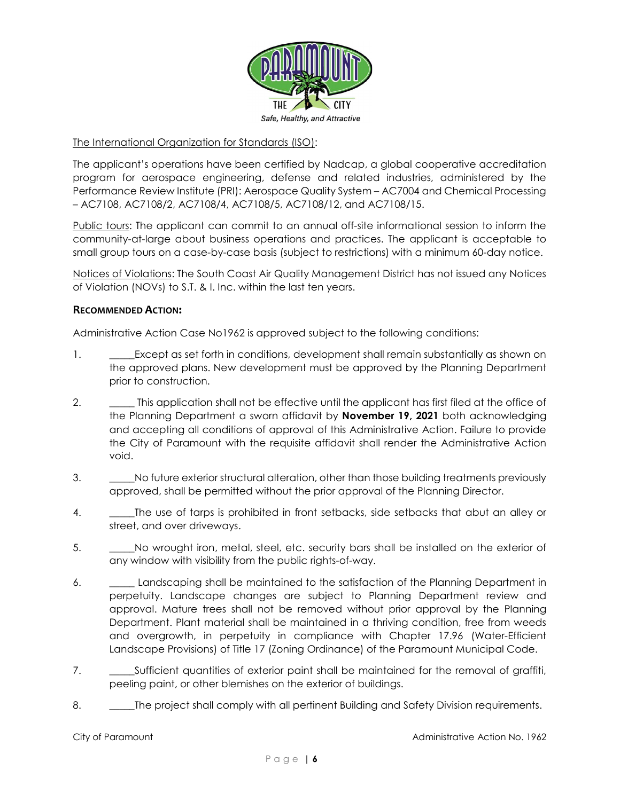

### The International Organization for Standards (ISO):

The applicant's operations have been certified by Nadcap, a global cooperative accreditation program for aerospace engineering, defense and related industries, administered by the Performance Review Institute (PRI): Aerospace Quality System – AC7004 and Chemical Processing – AC7108, AC7108/2, AC7108/4, AC7108/5, AC7108/12, and AC7108/15.

Public tours: The applicant can commit to an annual off-site informational session to inform the community-at-large about business operations and practices. The applicant is acceptable to small group tours on a case-by-case basis (subject to restrictions) with a minimum 60-day notice.

Notices of Violations: The South Coast Air Quality Management District has not issued any Notices of Violation (NOVs) to S.T. & I. Inc. within the last ten years.

#### RECOMMENDED ACTION:

Administrative Action Case No1962 is approved subject to the following conditions:

- 1. **Except as set forth in conditions, development shall remain substantially as shown on** the approved plans. New development must be approved by the Planning Department prior to construction.
- 2. \_\_\_\_\_\_\_ This application shall not be effective until the applicant has first filed at the office of the Planning Department a sworn affidavit by **November 19, 2021** both acknowledging and accepting all conditions of approval of this Administrative Action. Failure to provide the City of Paramount with the requisite affidavit shall render the Administrative Action void.
- 3. \_\_\_\_\_No future exterior structural alteration, other than those building treatments previously approved, shall be permitted without the prior approval of the Planning Director.
- 4. \_\_\_\_\_\_The use of tarps is prohibited in front setbacks, side setbacks that abut an alley or street, and over driveways.
- 5. \_\_\_\_\_No wrought iron, metal, steel, etc. security bars shall be installed on the exterior of any window with visibility from the public rights-of-way.
- 6. \_\_\_\_\_ Landscaping shall be maintained to the satisfaction of the Planning Department in perpetuity. Landscape changes are subject to Planning Department review and approval. Mature trees shall not be removed without prior approval by the Planning Department. Plant material shall be maintained in a thriving condition, free from weeds and overgrowth, in perpetuity in compliance with Chapter 17.96 (Water-Efficient Landscape Provisions) of Title 17 (Zoning Ordinance) of the Paramount Municipal Code.
- 7. \_\_\_\_\_Sufficient quantities of exterior paint shall be maintained for the removal of graffiti, peeling paint, or other blemishes on the exterior of buildings.
- 8. \_\_\_\_\_The project shall comply with all pertinent Building and Safety Division requirements.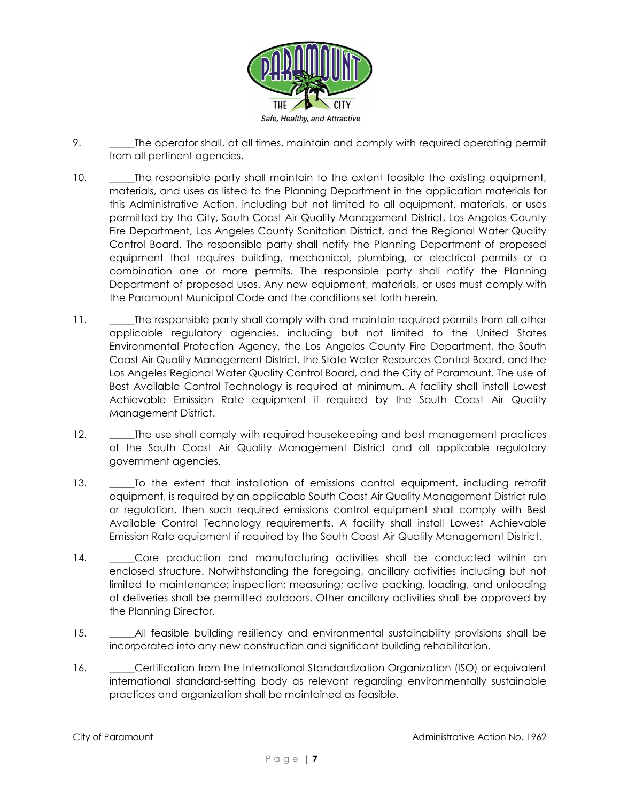

- 9. \_\_\_\_\_\_The operator shall, at all times, maintain and comply with required operating permit from all pertinent agencies.
- 10. \_\_\_\_\_The responsible party shall maintain to the extent feasible the existing equipment, materials, and uses as listed to the Planning Department in the application materials for this Administrative Action, including but not limited to all equipment, materials, or uses permitted by the City, South Coast Air Quality Management District, Los Angeles County Fire Department, Los Angeles County Sanitation District, and the Regional Water Quality Control Board. The responsible party shall notify the Planning Department of proposed equipment that requires building, mechanical, plumbing, or electrical permits or a combination one or more permits. The responsible party shall notify the Planning Department of proposed uses. Any new equipment, materials, or uses must comply with the Paramount Municipal Code and the conditions set forth herein.
- 11. The responsible party shall comply with and maintain required permits from all other applicable regulatory agencies, including but not limited to the United States Environmental Protection Agency, the Los Angeles County Fire Department, the South Coast Air Quality Management District, the State Water Resources Control Board, and the Los Angeles Regional Water Quality Control Board, and the City of Paramount. The use of Best Available Control Technology is required at minimum. A facility shall install Lowest Achievable Emission Rate equipment if required by the South Coast Air Quality Management District.
- 12. The use shall comply with required housekeeping and best management practices of the South Coast Air Quality Management District and all applicable regulatory government agencies.
- 13. \_\_\_\_\_To the extent that installation of emissions control equipment, including retrofit equipment, is required by an applicable South Coast Air Quality Management District rule or regulation, then such required emissions control equipment shall comply with Best Available Control Technology requirements. A facility shall install Lowest Achievable Emission Rate equipment if required by the South Coast Air Quality Management District.
- 14. Core production and manufacturing activities shall be conducted within an enclosed structure. Notwithstanding the foregoing, ancillary activities including but not limited to maintenance; inspection; measuring; active packing, loading, and unloading of deliveries shall be permitted outdoors. Other ancillary activities shall be approved by the Planning Director.
- 15. \_\_\_\_\_\_\_All feasible building resiliency and environmental sustainability provisions shall be incorporated into any new construction and significant building rehabilitation.
- 16. **\_\_\_\_\_Certification from the International Standardization Organization (ISO) or equivalent** international standard-setting body as relevant regarding environmentally sustainable practices and organization shall be maintained as feasible.